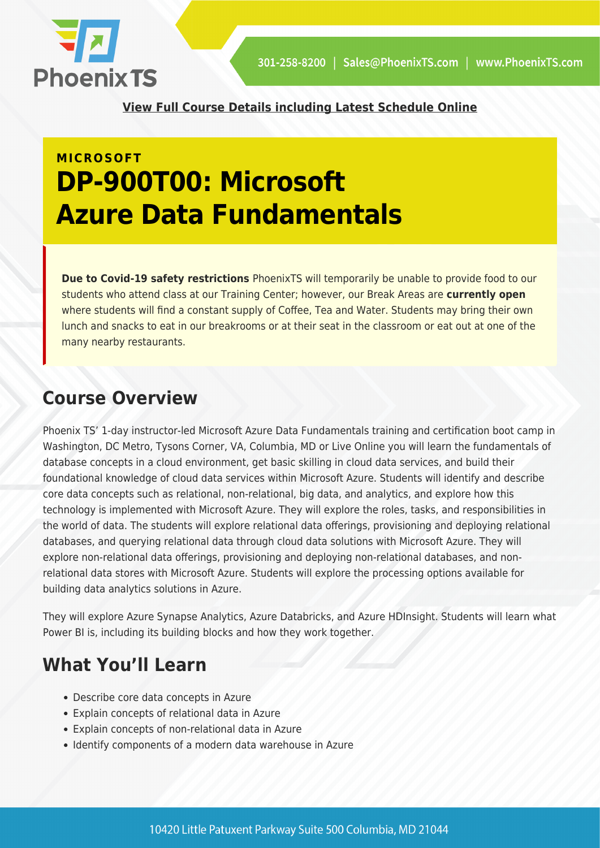

**[View Full Course Details including Latest Schedule Online](https://phoenixts.com/training-courses/dp-900t00-microsoft-azure-data-fundamentals/)**

# **MICROSOFT DP-900T00: Microsoft Azure Data Fundamentals**

**Due to Covid-19 safety restrictions** PhoenixTS will temporarily be unable to provide food to our students who attend class at our Training Center; however, our Break Areas are **currently open** where students will find a constant supply of Coffee, Tea and Water. Students may bring their own lunch and snacks to eat in our breakrooms or at their seat in the classroom or eat out at one of the many nearby restaurants.

### **Course Overview**

Phoenix TS' 1-day instructor-led Microsoft Azure Data Fundamentals training and certification boot camp in Washington, DC Metro, Tysons Corner, VA, Columbia, MD or Live Online you will learn the fundamentals of database concepts in a cloud environment, get basic skilling in cloud data services, and build their foundational knowledge of cloud data services within Microsoft Azure. Students will identify and describe core data concepts such as relational, non-relational, big data, and analytics, and explore how this technology is implemented with Microsoft Azure. They will explore the roles, tasks, and responsibilities in the world of data. The students will explore relational data offerings, provisioning and deploying relational databases, and querying relational data through cloud data solutions with Microsoft Azure. They will explore non-relational data offerings, provisioning and deploying non-relational databases, and nonrelational data stores with Microsoft Azure. Students will explore the processing options available for building data analytics solutions in Azure.

They will explore Azure Synapse Analytics, Azure Databricks, and Azure HDInsight. Students will learn what Power BI is, including its building blocks and how they work together.

# **What You'll Learn**

- Describe core data concepts in Azure
- Explain concepts of relational data in Azure
- Explain concepts of non-relational data in Azure
- Identify components of a modern data warehouse in Azure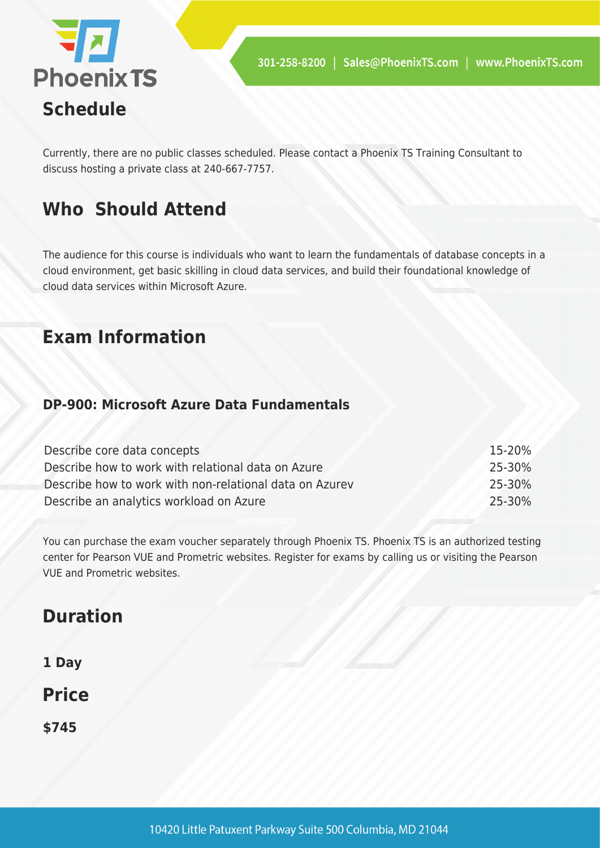

Currently, there are no public classes scheduled. Please contact a Phoenix TS Training Consultant to discuss hosting a private class at 240-667-7757.

## **Who Should Attend**

The audience for this course is individuals who want to learn the fundamentals of database concepts in a cloud environment, get basic skilling in cloud data services, and build their foundational knowledge of cloud data services within Microsoft Azure.

### **Exam Information**

### **DP-900: Microsoft Azure Data Fundamentals**

| Describe core data concepts                             | 15-20% |
|---------------------------------------------------------|--------|
| Describe how to work with relational data on Azure      | 25-30% |
| Describe how to work with non-relational data on Azurey | 25-30% |
| Describe an analytics workload on Azure                 | 25-30% |

You can purchase the exam voucher separately through Phoenix TS. Phoenix TS is an authorized testing center for Pearson VUE and Prometric websites. Register for exams by calling us or visiting the Pearson VUE and Prometric websites.

## **Duration**

**1 Day**

**Price**

**\$745**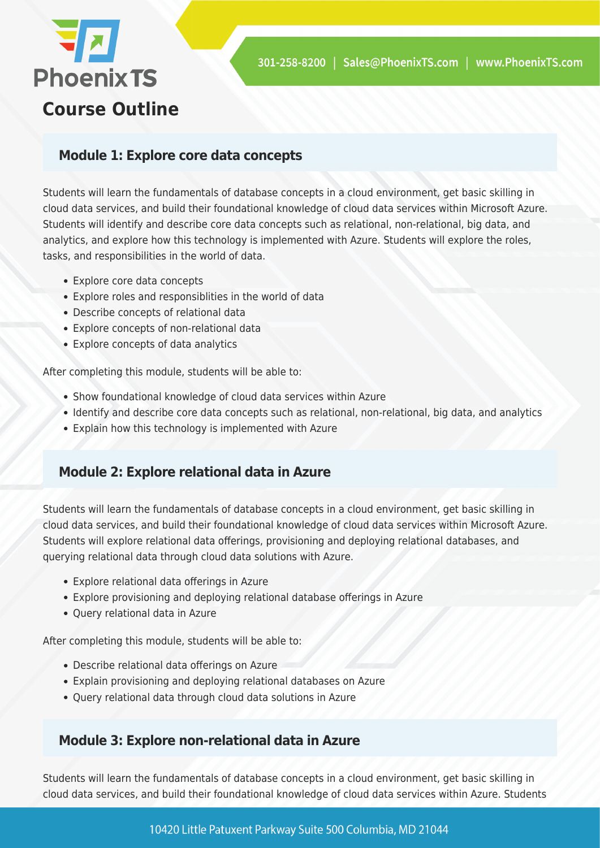

### **Module 1: Explore core data concepts**

Students will learn the fundamentals of database concepts in a cloud environment, get basic skilling in cloud data services, and build their foundational knowledge of cloud data services within Microsoft Azure. Students will identify and describe core data concepts such as relational, non-relational, big data, and analytics, and explore how this technology is implemented with Azure. Students will explore the roles, tasks, and responsibilities in the world of data.

- Explore core data concepts
- Explore roles and responsiblities in the world of data
- Describe concepts of relational data
- Explore concepts of non-relational data
- Explore concepts of data analytics

After completing this module, students will be able to:

- Show foundational knowledge of cloud data services within Azure
- Identify and describe core data concepts such as relational, non-relational, big data, and analytics
- Explain how this technology is implemented with Azure

### **Module 2: Explore relational data in Azure**

Students will learn the fundamentals of database concepts in a cloud environment, get basic skilling in cloud data services, and build their foundational knowledge of cloud data services within Microsoft Azure. Students will explore relational data offerings, provisioning and deploying relational databases, and querying relational data through cloud data solutions with Azure.

- Explore relational data offerings in Azure
- Explore provisioning and deploying relational database offerings in Azure
- Query relational data in Azure

After completing this module, students will be able to:

- Describe relational data offerings on Azure
- Explain provisioning and deploying relational databases on Azure
- Query relational data through cloud data solutions in Azure

#### **Module 3: Explore non-relational data in Azure**

Students will learn the fundamentals of database concepts in a cloud environment, get basic skilling in cloud data services, and build their foundational knowledge of cloud data services within Azure. Students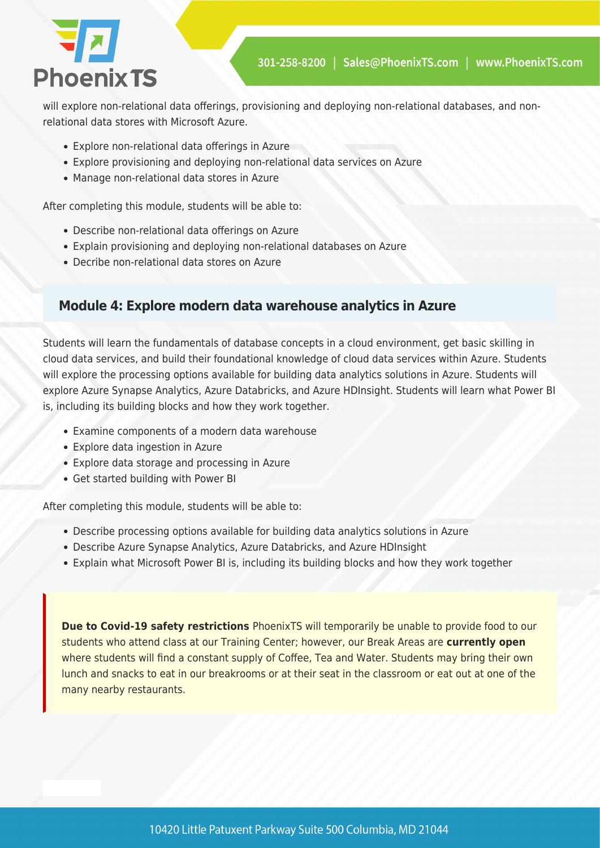

will explore non-relational data offerings, provisioning and deploying non-relational databases, and nonrelational data stores with Microsoft Azure.

- Explore non-relational data offerings in Azure
- Explore provisioning and deploying non-relational data services on Azure
- Manage non-relational data stores in Azure

After completing this module, students will be able to:

- Describe non-relational data offerings on Azure
- Explain provisioning and deploying non-relational databases on Azure
- Decribe non-relational data stores on Azure

#### **Module 4: Explore modern data warehouse analytics in Azure**

Students will learn the fundamentals of database concepts in a cloud environment, get basic skilling in cloud data services, and build their foundational knowledge of cloud data services within Azure. Students will explore the processing options available for building data analytics solutions in Azure. Students will explore Azure Synapse Analytics, Azure Databricks, and Azure HDInsight. Students will learn what Power BI is, including its building blocks and how they work together.

- Examine components of a modern data warehouse
- Explore data ingestion in Azure
- Explore data storage and processing in Azure
- Get started building with Power BI

After completing this module, students will be able to:

- Describe processing options available for building data analytics solutions in Azure
- Describe Azure Synapse Analytics, Azure Databricks, and Azure HDInsight
- Explain what Microsoft Power BI is, including its building blocks and how they work together

**Due to Covid-19 safety restrictions** PhoenixTS will temporarily be unable to provide food to our students who attend class at our Training Center; however, our Break Areas are **currently open** where students will find a constant supply of Coffee, Tea and Water. Students may bring their own lunch and snacks to eat in our breakrooms or at their seat in the classroom or eat out at one of the many nearby restaurants.